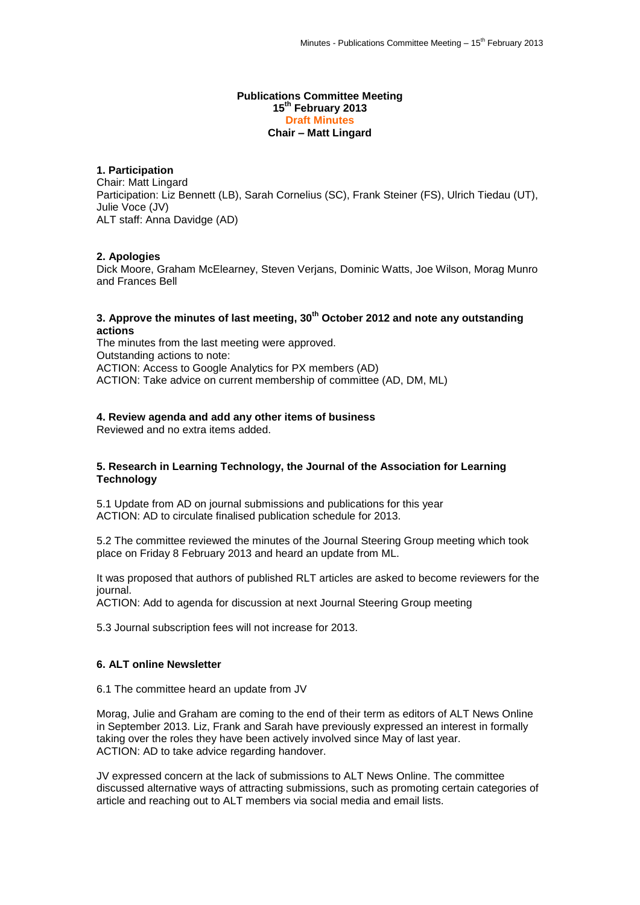#### **Publications Committee Meeting 15th February 2013 Draft Minutes Chair – Matt Lingard**

# **1. Participation**

Chair: Matt Lingard Participation: Liz Bennett (LB), Sarah Cornelius (SC), Frank Steiner (FS), Ulrich Tiedau (UT), Julie Voce (JV) ALT staff: Anna Davidge (AD)

#### **2. Apologies**

Dick Moore, Graham McElearney, Steven Verjans, Dominic Watts, Joe Wilson, Morag Munro and Frances Bell

## **3. Approve the minutes of last meeting, 30th October 2012 and note any outstanding actions**

The minutes from the last meeting were approved. Outstanding actions to note: ACTION: Access to Google Analytics for PX members (AD) ACTION: Take advice on current membership of committee (AD, DM, ML)

## **4. Review agenda and add any other items of business**

Reviewed and no extra items added.

#### **5. Research in Learning Technology, the Journal of the Association for Learning Technology**

5.1 Update from AD on journal submissions and publications for this year ACTION: AD to circulate finalised publication schedule for 2013.

5.2 The committee reviewed the minutes of the Journal Steering Group meeting which took place on Friday 8 February 2013 and heard an update from ML.

It was proposed that authors of published RLT articles are asked to become reviewers for the journal.

ACTION: Add to agenda for discussion at next Journal Steering Group meeting

5.3 Journal subscription fees will not increase for 2013.

## **6. ALT online Newsletter**

6.1 The committee heard an update from JV

Morag, Julie and Graham are coming to the end of their term as editors of ALT News Online in September 2013. Liz, Frank and Sarah have previously expressed an interest in formally taking over the roles they have been actively involved since May of last year. ACTION: AD to take advice regarding handover.

JV expressed concern at the lack of submissions to ALT News Online. The committee discussed alternative ways of attracting submissions, such as promoting certain categories of article and reaching out to ALT members via social media and email lists.